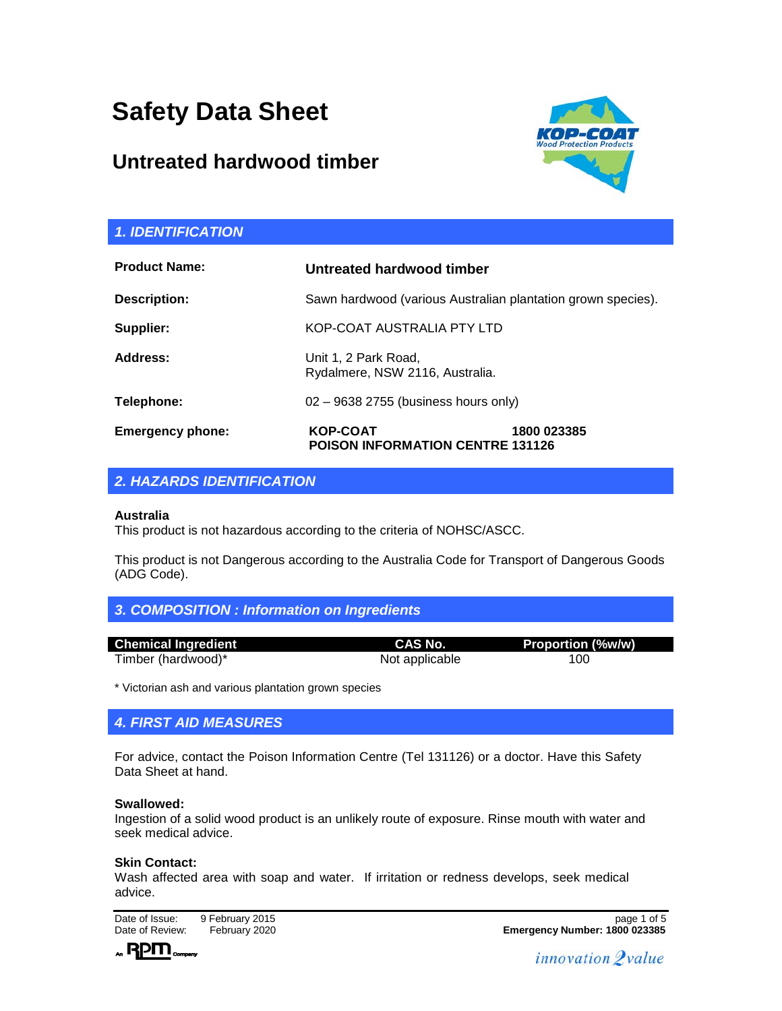# **Safety Data Sheet**

# **Untreated hardwood timber**



| <b>1. IDENTIFICATION</b> |                                                              |             |
|--------------------------|--------------------------------------------------------------|-------------|
| <b>Product Name:</b>     | Untreated hardwood timber                                    |             |
| Description:             | Sawn hardwood (various Australian plantation grown species). |             |
| Supplier:                | KOP-COAT AUSTRALIA PTY LTD                                   |             |
| Address:                 | Unit 1, 2 Park Road,<br>Rydalmere, NSW 2116, Australia.      |             |
| Telephone:               | 02 - 9638 2755 (business hours only)                         |             |
| <b>Emergency phone:</b>  | <b>KOP-COAT</b><br><b>POISON INFORMATION CENTRE 131126</b>   | 1800 023385 |

 $\overline{a}$ 

# *2. HAZARDS IDENTIFICATION*

#### **Australia**

This product is not hazardous according to the criteria of NOHSC/ASCC.

This product is not Dangerous according to the Australia Code for Transport of Dangerous Goods (ADG Code).

|  |  | 3. COMPOSITION : Information on Ingredients |
|--|--|---------------------------------------------|
|  |  |                                             |

| <b>Chemical Ingredient</b> | CAS No.        | <b>Proportion (%w/w)</b> |
|----------------------------|----------------|--------------------------|
| Timber (hardwood)*         | Not applicable | 100                      |

\* Victorian ash and various plantation grown species

# *4. FIRST AID MEASURES*

For advice, contact the Poison Information Centre (Tel 131126) or a doctor. Have this Safety Data Sheet at hand.

#### **Swallowed:**

Ingestion of a solid wood product is an unlikely route of exposure. Rinse mouth with water and seek medical advice.

#### **Skin Contact:**

Wash affected area with soap and water. If irritation or redness develops, seek medical advice.

Date of Issue: 9 February 2015<br>
Date of Review: February 2020



Date of Review: February 2020 **Emergency Number: 1800 023385**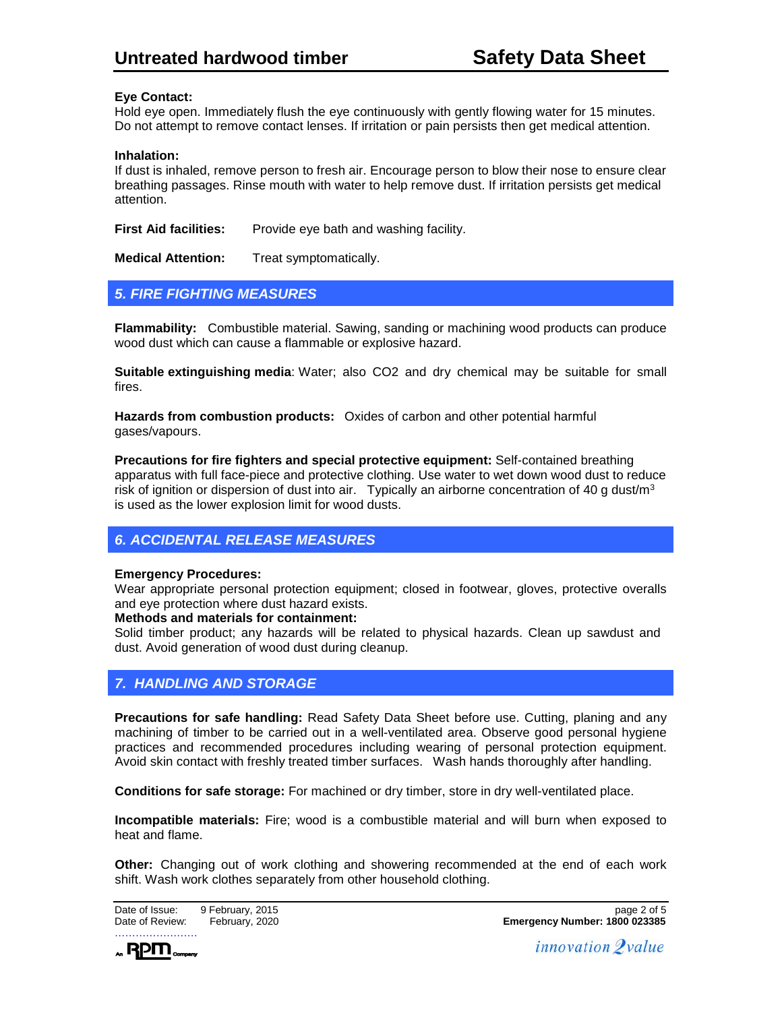#### **Eye Contact:**

Hold eye open. Immediately flush the eye continuously with gently flowing water for 15 minutes. Do not attempt to remove contact lenses. If irritation or pain persists then get medical attention.

#### **Inhalation:**

If dust is inhaled, remove person to fresh air. Encourage person to blow their nose to ensure clear breathing passages. Rinse mouth with water to help remove dust. If irritation persists get medical attention.

**First Aid facilities:** Provide eye bath and washing facility.

**Medical Attention:** Treat symptomatically.

### *5. FIRE FIGHTING MEASURES*

**Flammability:** Combustible material. Sawing, sanding or machining wood products can produce wood dust which can cause a flammable or explosive hazard.

**Suitable extinguishing media**: Water; also CO2 and dry chemical may be suitable for small fires.

**Hazards from combustion products:** Oxides of carbon and other potential harmful gases/vapours.

**Precautions for fire fighters and special protective equipment:** Self-contained breathing apparatus with full face-piece and protective clothing. Use water to wet down wood dust to reduce risk of ignition or dispersion of dust into air. Typically an airborne concentration of 40 g dust/ $m<sup>3</sup>$ is used as the lower explosion limit for wood dusts.

# *6. ACCIDENTAL RELEASE MEASURES*

#### **Emergency Procedures:**

Wear appropriate personal protection equipment; closed in footwear, gloves, protective overalls and eye protection where dust hazard exists.

#### **Methods and materials for containment:**

Solid timber product; any hazards will be related to physical hazards. Clean up sawdust and dust. Avoid generation of wood dust during cleanup.

# *7. HANDLING AND STORAGE*

**Precautions for safe handling:** Read Safety Data Sheet before use. Cutting, planing and any machining of timber to be carried out in a well-ventilated area. Observe good personal hygiene practices and recommended procedures including wearing of personal protection equipment. Avoid skin contact with freshly treated timber surfaces. Wash hands thoroughly after handling.

**Conditions for safe storage:** For machined or dry timber, store in dry well-ventilated place.

**Incompatible materials:** Fire; wood is a combustible material and will burn when exposed to heat and flame.

**Other:** Changing out of work clothing and showering recommended at the end of each work shift. Wash work clothes separately from other household clothing.



 $_{\star}$  RPM  $_{\tiny{\sf compary}}$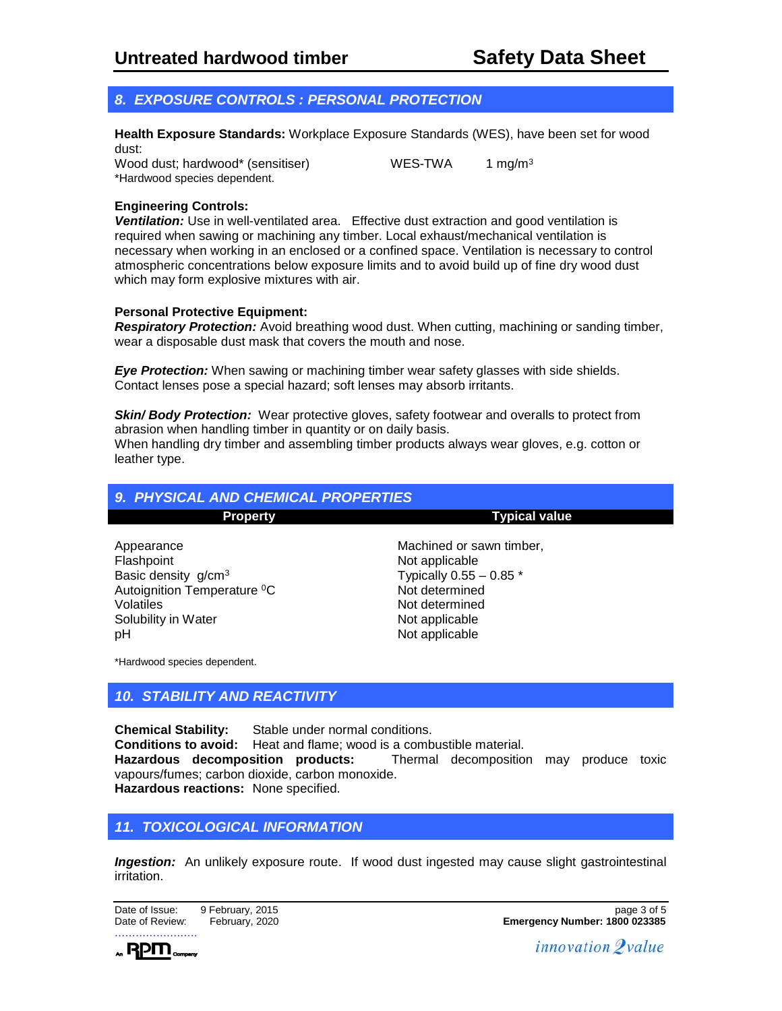# *8. EXPOSURE CONTROLS : PERSONAL PROTECTION*

**Health Exposure Standards:** Workplace Exposure Standards (WES), have been set for wood dust:

Wood dust; hardwood\* (sensitiser) WES-TWA 1 mg/m<sup>3</sup> \*Hardwood species dependent.

#### **Engineering Controls:**

**Ventilation:** Use in well-ventilated area. Effective dust extraction and good ventilation is required when sawing or machining any timber. Local exhaust/mechanical ventilation is necessary when working in an enclosed or a confined space. Ventilation is necessary to control atmospheric concentrations below exposure limits and to avoid build up of fine dry wood dust which may form explosive mixtures with air.

#### **Personal Protective Equipment:**

*Respiratory Protection:* Avoid breathing wood dust. When cutting, machining or sanding timber, wear a disposable dust mask that covers the mouth and nose.

*Eye Protection:* When sawing or machining timber wear safety glasses with side shields. Contact lenses pose a special hazard; soft lenses may absorb irritants.

**Skin/ Body Protection:** Wear protective gloves, safety footwear and overalls to protect from abrasion when handling timber in quantity or on daily basis.

When handling dry timber and assembling timber products always wear gloves, e.g. cotton or leather type.

| <b>9. PHYSICAL AND CHEMICAL PROPERTIES</b>                                                                                                              |                                                                                                                                                 |  |
|---------------------------------------------------------------------------------------------------------------------------------------------------------|-------------------------------------------------------------------------------------------------------------------------------------------------|--|
| <b>Property</b>                                                                                                                                         | <b>Typical value</b>                                                                                                                            |  |
| Appearance<br>Flashpoint<br>Basic density g/cm <sup>3</sup><br>Autoignition Temperature <sup>o</sup> C<br><b>Volatiles</b><br>Solubility in Water<br>рH | Machined or sawn timber,<br>Not applicable<br>Typically $0.55 - 0.85$ *<br>Not determined<br>Not determined<br>Not applicable<br>Not applicable |  |

\*Hardwood species dependent.

# *10. STABILITY AND REACTIVITY*

**Chemical Stability:** Stable under normal conditions. **Conditions to avoid:** Heat and flame; wood is a combustible material.<br> **Hazardous decomposition products:** Thermal decomposition Thermal decomposition may produce toxic vapours/fumes; carbon dioxide, carbon monoxide. **Hazardous reactions:** None specified.

# *11. TOXICOLOGICAL INFORMATION*

**Ingestion:** An unlikely exposure route. If wood dust ingested may cause slight gastrointestinal irritation.

……………………

 $_{\star}$  RPM  $_{\tiny{\sf compary}}$ 

Date of Issue: 9 February, 2015<br>
Date of Review: February, 2015 Date of Review: February, 2020 **Emergency Number: 1800 023385**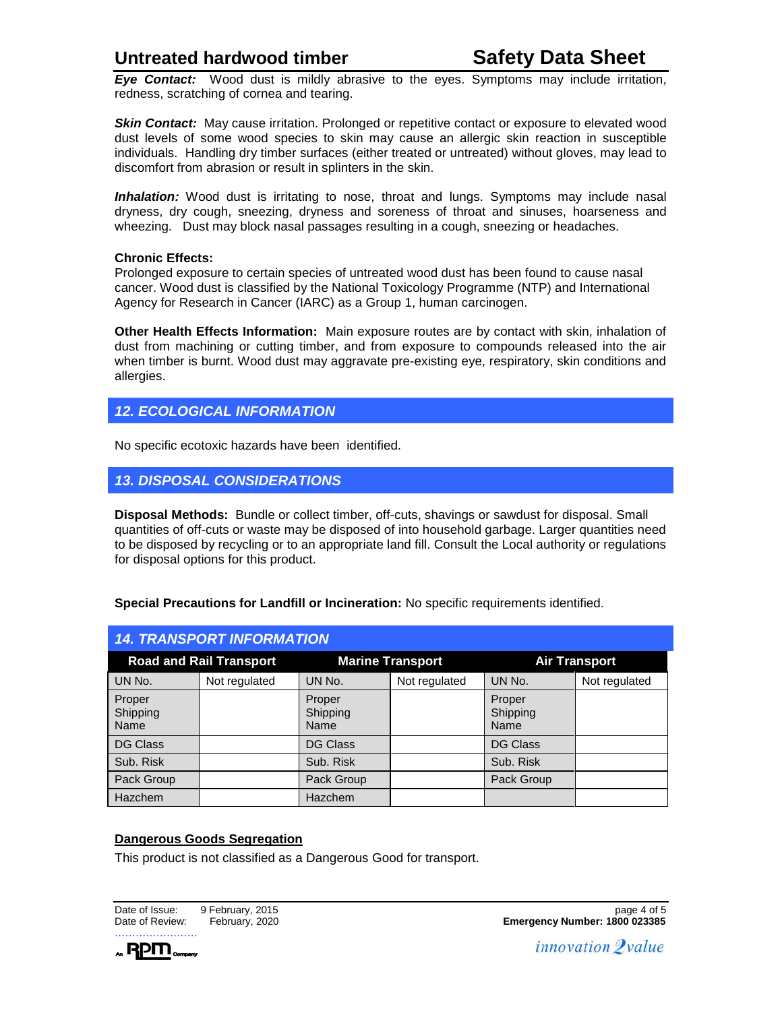# **Untreated hardwood timber Safety Data Sheet**

*Eye Contact:* Wood dust is mildly abrasive to the eyes. Symptoms may include irritation, redness, scratching of cornea and tearing.

**Skin Contact:** May cause irritation. Prolonged or repetitive contact or exposure to elevated wood dust levels of some wood species to skin may cause an allergic skin reaction in susceptible individuals. Handling dry timber surfaces (either treated or untreated) without gloves, may lead to discomfort from abrasion or result in splinters in the skin.

**Inhalation:** Wood dust is irritating to nose, throat and lungs. Symptoms may include nasal dryness, dry cough, sneezing, dryness and soreness of throat and sinuses, hoarseness and wheezing. Dust may block nasal passages resulting in a cough, sneezing or headaches.

#### **Chronic Effects:**

Prolonged exposure to certain species of untreated wood dust has been found to cause nasal cancer. Wood dust is classified by the National Toxicology Programme (NTP) and International Agency for Research in Cancer (IARC) as a Group 1, human carcinogen.

**Other Health Effects Information:** Main exposure routes are by contact with skin, inhalation of dust from machining or cutting timber, and from exposure to compounds released into the air when timber is burnt. Wood dust may aggravate pre-existing eye, respiratory, skin conditions and allergies.

### *12. ECOLOGICAL INFORMATION*

No specific ecotoxic hazards have been identified.

### *13. DISPOSAL CONSIDERATIONS*

**Disposal Methods:** Bundle or collect timber, off-cuts, shavings or sawdust for disposal. Small quantities of off-cuts or waste may be disposed of into household garbage. Larger quantities need to be disposed by recycling or to an appropriate land fill. Consult the Local authority or regulations for disposal options for this product.

| <b>14. TRANSPORT INFORMATION</b> |               |                            |               |                            |               |
|----------------------------------|---------------|----------------------------|---------------|----------------------------|---------------|
| <b>Road and Rail Transport</b>   |               | <b>Marine Transport</b>    |               | <b>Air Transport</b>       |               |
| UN No.                           | Not regulated | UN No.                     | Not regulated | UN No.                     | Not regulated |
| Proper<br>Shipping<br>Name       |               | Proper<br>Shipping<br>Name |               | Proper<br>Shipping<br>Name |               |
| <b>DG Class</b>                  |               | <b>DG Class</b>            |               | <b>DG Class</b>            |               |
| Sub. Risk                        |               | Sub. Risk                  |               | Sub. Risk                  |               |
| Pack Group                       |               | Pack Group                 |               | Pack Group                 |               |
| <b>Hazchem</b>                   |               | Hazchem                    |               |                            |               |

#### **Special Precautions for Landfill or Incineration:** No specific requirements identified.

#### **Dangerous Goods Segregation**

This product is not classified as a Dangerous Good for transport.